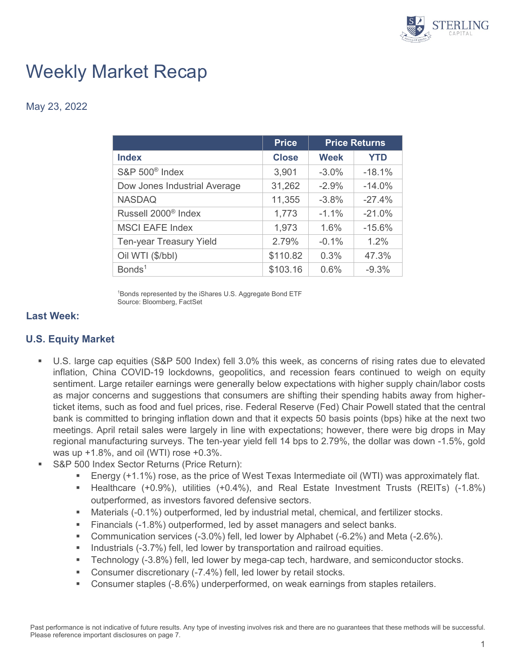

# Weekly Market Recap

May 23, 2022

|                                 | <b>Price</b> | <b>Price Returns</b> |            |
|---------------------------------|--------------|----------------------|------------|
| <b>Index</b>                    | <b>Close</b> | <b>Week</b>          | <b>YTD</b> |
| S&P 500 <sup>®</sup> Index      | 3,901        | $-3.0%$              | $-18.1%$   |
| Dow Jones Industrial Average    | 31,262       | $-2.9%$              | $-14.0%$   |
| <b>NASDAQ</b>                   | 11,355       | $-3.8%$              | $-27.4%$   |
| Russell 2000 <sup>®</sup> Index | 1,773        | $-1.1\%$             | $-21.0%$   |
| <b>MSCI EAFE Index</b>          | 1,973        | 1.6%                 | $-15.6%$   |
| Ten-year Treasury Yield         | 2.79%        | $-0.1%$              | 1.2%       |
| Oil WTI (\$/bbl)                | \$110.82     | 0.3%                 | 47.3%      |
| Bonds <sup>1</sup>              | \$103.16     | 0.6%                 | $-9.3%$    |

1 Bonds represented by the iShares U.S. Aggregate Bond ETF Source: Bloomberg, FactSet

#### **Last Week:**

## **U.S. Equity Market**

- U.S. large cap equities (S&P 500 Index) fell 3.0% this week, as concerns of rising rates due to elevated inflation, China COVID-19 lockdowns, geopolitics, and recession fears continued to weigh on equity sentiment. Large retailer earnings were generally below expectations with higher supply chain/labor costs as major concerns and suggestions that consumers are shifting their spending habits away from higherticket items, such as food and fuel prices, rise. Federal Reserve (Fed) Chair Powell stated that the central bank is committed to bringing inflation down and that it expects 50 basis points (bps) hike at the next two meetings. April retail sales were largely in line with expectations; however, there were big drops in May regional manufacturing surveys. The ten-year yield fell 14 bps to 2.79%, the dollar was down -1.5%, gold was up +1.8%, and oil (WTI) rose +0.3%.
- S&P 500 Index Sector Returns (Price Return):
	- Energy (+1.1%) rose, as the price of West Texas Intermediate oil (WTI) was approximately flat.
	- Healthcare (+0.9%), utilities (+0.4%), and Real Estate Investment Trusts (REITs) (-1.8%) outperformed, as investors favored defensive sectors.
	- Materials (-0.1%) outperformed, led by industrial metal, chemical, and fertilizer stocks.
	- Financials (-1.8%) outperformed, led by asset managers and select banks.
	- Communication services (-3.0%) fell, led lower by Alphabet (-6.2%) and Meta (-2.6%).
	- **Industrials (-3.7%) fell, led lower by transportation and railroad equities.**
	- Technology (-3.8%) fell, led lower by mega-cap tech, hardware, and semiconductor stocks.
	- Consumer discretionary (-7.4%) fell, led lower by retail stocks.
	- Consumer staples (-8.6%) underperformed, on weak earnings from staples retailers.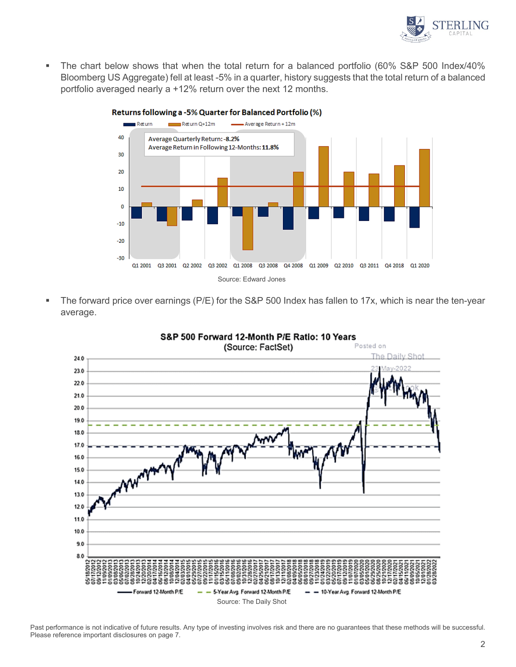

 The chart below shows that when the total return for a balanced portfolio (60% S&P 500 Index/40% Bloomberg US Aggregate) fell at least -5% in a quarter, history suggests that the total return of a balanced portfolio averaged nearly a +12% return over the next 12 months.



 The forward price over earnings (P/E) for the S&P 500 Index has fallen to 17x, which is near the ten-year average.



Past performance is not indicative of future results. Any type of investing involves risk and there are no guarantees that these methods will be successful. Please reference important disclosures on page 7.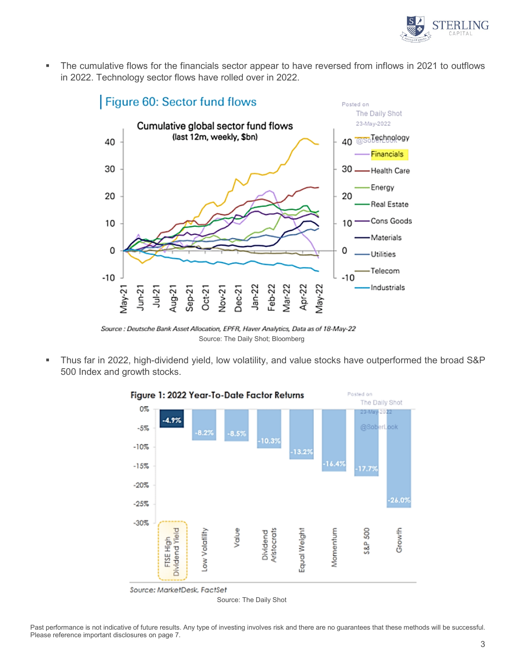

 The cumulative flows for the financials sector appear to have reversed from inflows in 2021 to outflows in 2022. Technology sector flows have rolled over in 2022.



Source : Deutsche Bank Asset Allocation, EPFR, Haver Analytics, Data as of 18-May-22 Source: The Daily Shot; Bloomberg

 Thus far in 2022, high-dividend yield, low volatility, and value stocks have outperformed the broad S&P 500 Index and growth stocks.



Past performance is not indicative of future results. Any type of investing involves risk and there are no guarantees that these methods will be successful. Please reference important disclosures on page 7.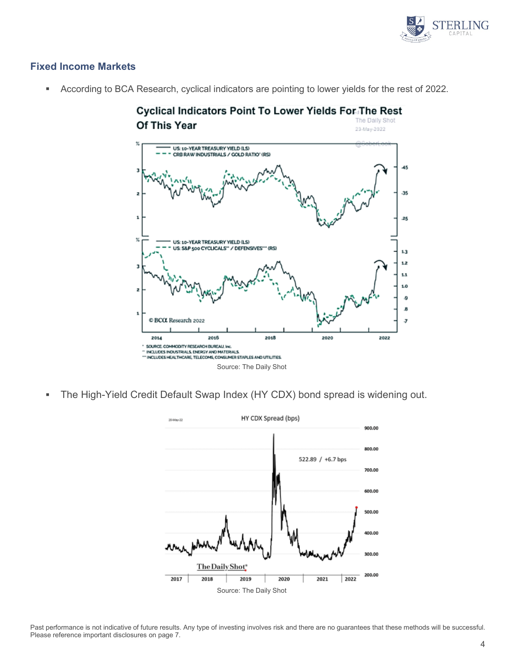

# **Fixed Income Markets**

**According to BCA Research, cyclical indicators are pointing to lower yields for the rest of 2022.** 



The High-Yield Credit Default Swap Index (HY CDX) bond spread is widening out.



Past performance is not indicative of future results. Any type of investing involves risk and there are no guarantees that these methods will be successful. Please reference important disclosures on page 7.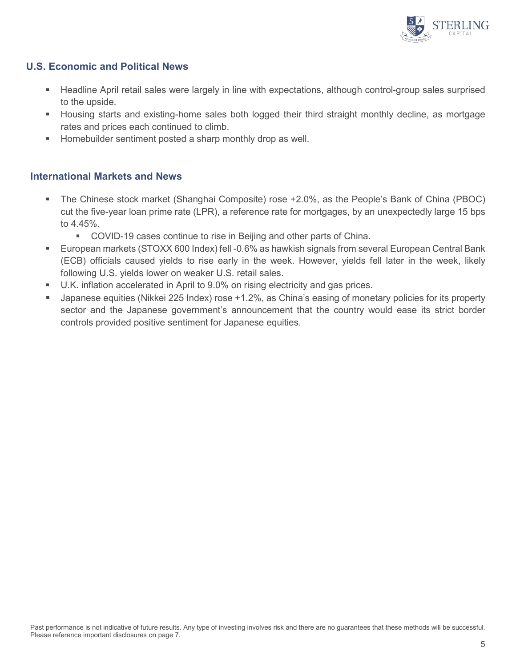

## **U.S. Economic and Political News**

- Headline April retail sales were largely in line with expectations, although control-group sales surprised to the upside.
- Housing starts and existing-home sales both logged their third straight monthly decline, as mortgage rates and prices each continued to climb.
- **Homebuilder sentiment posted a sharp monthly drop as well.**

#### **International Markets and News**

- The Chinese stock market (Shanghai Composite) rose +2.0%, as the People's Bank of China (PBOC) cut the five-year loan prime rate (LPR), a reference rate for mortgages, by an unexpectedly large 15 bps to 4.45%.
	- **COVID-19 cases continue to rise in Beijing and other parts of China.**
- European markets (STOXX 600 Index) fell -0.6% as hawkish signals from several European Central Bank (ECB) officials caused yields to rise early in the week. However, yields fell later in the week, likely following U.S. yields lower on weaker U.S. retail sales.
- U.K. inflation accelerated in April to 9.0% on rising electricity and gas prices.
- Japanese equities (Nikkei 225 Index) rose +1.2%, as China's easing of monetary policies for its property sector and the Japanese government's announcement that the country would ease its strict border controls provided positive sentiment for Japanese equities.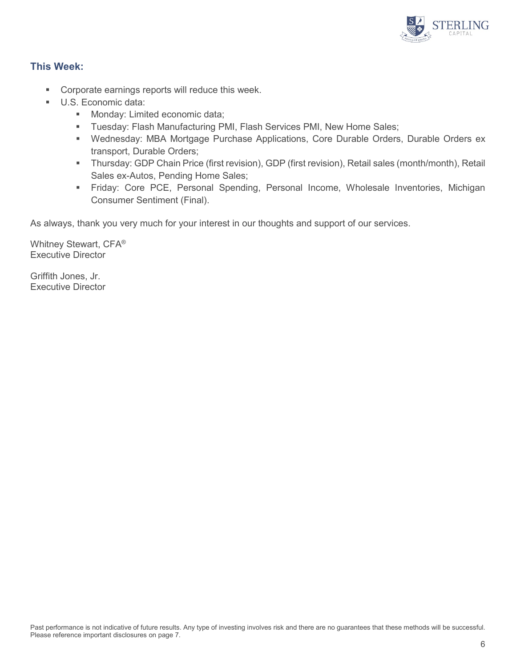

# **This Week:**

- **EXECO CORPORATE:** Corporate earnings reports will reduce this week.
- U.S. Economic data:
	- **Monday: Limited economic data;**
	- **Tuesday: Flash Manufacturing PMI, Flash Services PMI, New Home Sales;**
	- Wednesday: MBA Mortgage Purchase Applications, Core Durable Orders, Durable Orders ex transport, Durable Orders;
	- Thursday: GDP Chain Price (first revision), GDP (first revision), Retail sales (month/month), Retail Sales ex-Autos, Pending Home Sales;
	- Friday: Core PCE, Personal Spending, Personal Income, Wholesale Inventories, Michigan Consumer Sentiment (Final).

As always, thank you very much for your interest in our thoughts and support of our services.

Whitney Stewart, CFA® Executive Director

Griffith Jones, Jr. Executive Director